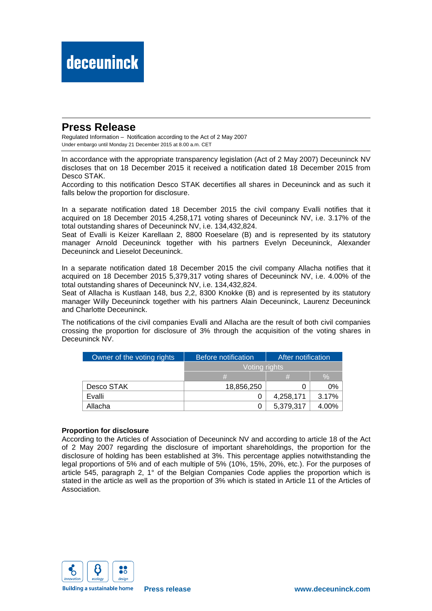## **Press Release**

Regulated Information – Notification according to the Act of 2 May 2007 Under embargo until Monday 21 December 2015 at 8.00 a.m. CET

In accordance with the appropriate transparency legislation (Act of 2 May 2007) Deceuninck NV discloses that on 18 December 2015 it received a notification dated 18 December 2015 from Desco STAK.

According to this notification Desco STAK decertifies all shares in Deceuninck and as such it falls below the proportion for disclosure.

In a separate notification dated 18 December 2015 the civil company Evalli notifies that it acquired on 18 December 2015 4,258,171 voting shares of Deceuninck NV, i.e. 3.17% of the total outstanding shares of Deceuninck NV, i.e. 134,432,824.

Seat of Evalli is Keizer Karellaan 2, 8800 Roeselare (B) and is represented by its statutory manager Arnold Deceuninck together with his partners Evelyn Deceuninck, Alexander Deceuninck and Lieselot Deceuninck.

In a separate notification dated 18 December 2015 the civil company Allacha notifies that it acquired on 18 December 2015 5,379,317 voting shares of Deceuninck NV, i.e. 4.00% of the total outstanding shares of Deceuninck NV, i.e. 134,432,824.

Seat of Allacha is Kustlaan 148, bus 2,2, 8300 Knokke (B) and is represented by its statutory manager Willy Deceuninck together with his partners Alain Deceuninck, Laurenz Deceuninck and Charlotte Deceuninck.

The notifications of the civil companies Evalli and Allacha are the result of both civil companies crossing the proportion for disclosure of 3% through the acquisition of the voting shares in Deceuninck NV.

| Owner of the voting rights | Before notification | After notification |               |
|----------------------------|---------------------|--------------------|---------------|
|                            | Voting rights       |                    |               |
|                            | #                   | #                  | $\frac{0}{0}$ |
| Desco STAK                 | 18,856,250          | Ω                  | 0%            |
| Evalli                     |                     | 4,258,171          | 3.17%         |
| Allacha                    |                     | 5,379,317          | 4.00%         |

### **Proportion for disclosure**

According to the Articles of Association of Deceuninck NV and according to article 18 of the Act of 2 May 2007 regarding the disclosure of important shareholdings, the proportion for the disclosure of holding has been established at 3%. This percentage applies notwithstanding the legal proportions of 5% and of each multiple of 5% (10%, 15%, 20%, etc.). For the purposes of article 545, paragraph 2, 1° of the Belgian Companies Code applies the proportion which is stated in the article as well as the proportion of 3% which is stated in Article 11 of the Articles of Association.



**Building a sustainable home**